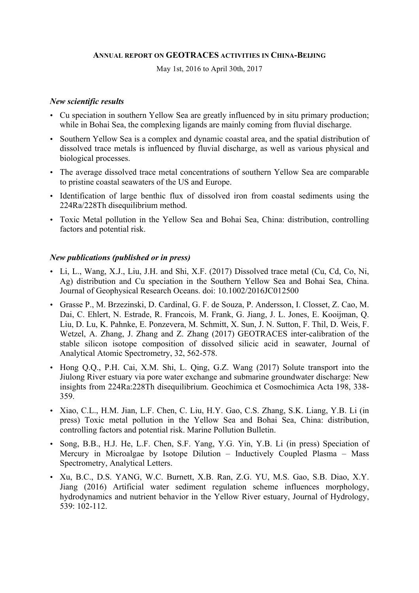#### **ANNUAL REPORT ON GEOTRACES ACTIVITIES IN CHINA-BEIJING**

May 1st, 2016 to April 30th, 2017

#### *New scientific results*

- Cu speciation in southern Yellow Sea are greatly influenced by in situ primary production; while in Bohai Sea, the complexing ligands are mainly coming from fluvial discharge.
- Southern Yellow Sea is a complex and dynamic coastal area, and the spatial distribution of dissolved trace metals is influenced by fluvial discharge, as well as various physical and biological processes.
- The average dissolved trace metal concentrations of southern Yellow Sea are comparable to pristine coastal seawaters of the US and Europe.
- Identification of large benthic flux of dissolved iron from coastal sediments using the 224Ra/228Th disequilibrium method.
- Toxic Metal pollution in the Yellow Sea and Bohai Sea, China: distribution, controlling factors and potential risk.

#### *New publications (published or in press)*

- Li, L., Wang, X.J., Liu, J.H. and Shi, X.F. (2017) Dissolved trace metal (Cu, Cd, Co, Ni, Ag) distribution and Cu speciation in the Southern Yellow Sea and Bohai Sea, China. Journal of Geophysical Research Oceans. doi: 10.1002/2016JC012500
- Grasse P., M. Brzezinski, D. Cardinal, G. F. de Souza, P. Andersson, I. Closset, Z. Cao, M. Dai, C. Ehlert, N. Estrade, R. Francois, M. Frank, G. Jiang, J. L. Jones, E. Kooijman, Q. Liu, D. Lu, K. Pahnke, E. Ponzevera, M. Schmitt, X. Sun, J. N. Sutton, F. Thil, D. Weis, F. Wetzel, A. Zhang, J. Zhang and Z. Zhang (2017) GEOTRACES inter-calibration of the stable silicon isotope composition of dissolved silicic acid in seawater, Journal of Analytical Atomic Spectrometry, 32, 562-578.
- Hong Q.Q., P.H. Cai, X.M. Shi, L. Qing, G.Z. Wang (2017) Solute transport into the Jiulong River estuary via pore water exchange and submarine groundwater discharge: New insights from 224Ra:228Th disequilibrium. Geochimica et Cosmochimica Acta 198, 338- 359.
- Xiao, C.L., H.M. Jian, L.F. Chen, C. Liu, H.Y. Gao, C.S. Zhang, S.K. Liang, Y.B. Li (in press) Toxic metal pollution in the Yellow Sea and Bohai Sea, China: distribution, controlling factors and potential risk. Marine Pollution Bulletin.
- Song, B.B., H.J. He, L.F. Chen, S.F. Yang, Y.G. Yin, Y.B. Li (in press) Speciation of Mercury in Microalgae by Isotope Dilution – Inductively Coupled Plasma – Mass Spectrometry, Analytical Letters.
- Xu, B.C., D.S. YANG, W.C. Burnett, X.B. Ran, Z.G. YU, M.S. Gao, S.B. Diao, X.Y. Jiang (2016) Artificial water sediment regulation scheme influences morphology, hydrodynamics and nutrient behavior in the Yellow River estuary, Journal of Hydrology, 539: 102-112.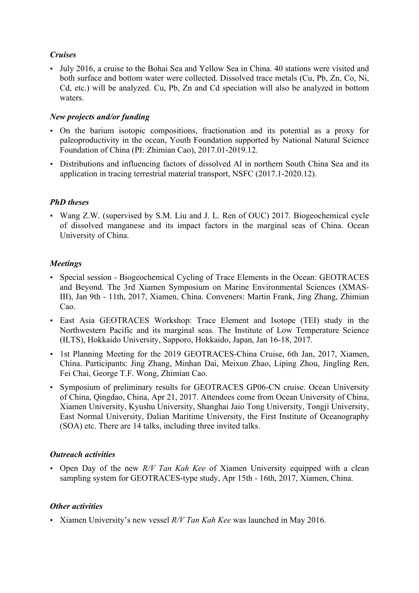## *Cruises*

• July 2016, a cruise to the Bohai Sea and Yellow Sea in China. 40 stations were visited and both surface and bottom water were collected. Dissolved trace metals (Cu, Pb, Zn, Co, Ni, Cd, etc.) will be analyzed. Cu, Pb, Zn and Cd speciation will also be analyzed in bottom waters.

## *New projects and/or funding*

- On the barium isotopic compositions, fractionation and its potential as a proxy for paleoproductivity in the ocean, Youth Foundation supported by National Natural Science Foundation of China (PI: Zhimian Cao), 2017.01-2019.12.
- Distributions and influencing factors of dissolved Al in northern South China Sea and its application in tracing terrestrial material transport, NSFC (2017.1-2020.12).

# *PhD theses*

• Wang Z.W. (supervised by S.M. Liu and J. L. Ren of OUC) 2017. Biogeochemical cycle of dissolved manganese and its impact factors in the marginal seas of China. Ocean University of China.

# *Meetings*

- Special session Biogeochemical Cycling of Trace Elements in the Ocean: GEOTRACES and Beyond. The 3rd Xiamen Symposium on Marine Environmental Sciences (XMAS-III), Jan 9th - 11th, 2017, Xiamen, China. Conveners: Martin Frank, Jing Zhang, Zhimian Cao.
- East Asia GEOTRACES Workshop: Trace Element and Isotope (TEI) study in the Northwestern Pacific and its marginal seas. The Institute of Low Temperature Science (ILTS), Hokkaido University, Sapporo, Hokkaido, Japan, Jan 16-18, 2017.
- 1st Planning Meeting for the 2019 GEOTRACES-China Cruise, 6th Jan, 2017, Xiamen, China. Participants: Jing Zhang, Minhan Dai, Meixun Zhao, Liping Zhou, Jingling Ren, Fei Chai, George T.F. Wong, Zhimian Cao.
- Symposium of preliminary results for GEOTRACES GP06-CN cruise. Ocean University of China, Qingdao, China, Apr 21, 2017. Attendees come from Ocean University of China, Xiamen University, Kyushu University, Shanghai Jaio Tong University, Tongji University, East Normal University, Dalian Maritime University, the First Institute of Oceanography (SOA) etc. There are 14 talks, including three invited talks.

### *Outreach activities*

• Open Day of the new *R/V Tan Kah Kee* of Xiamen University equipped with a clean sampling system for GEOTRACES-type study, Apr 15th - 16th, 2017, Xiamen, China.

### *Other activities*

• Xiamen University's new vessel *R/V Tan Kah Kee* was launched in May 2016.